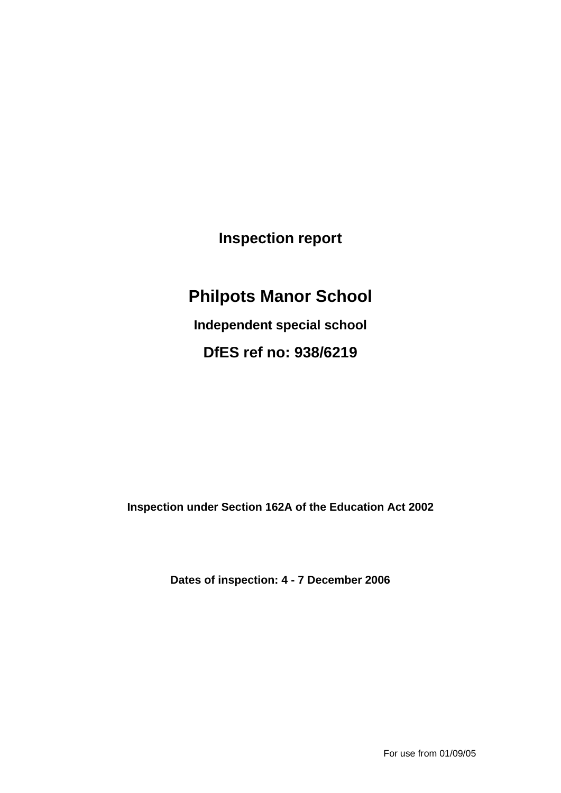**Inspection report**

# **Philpots Manor School**

**Independent special school DfES ref no: 938/6219**

**Inspection under Section 162A of the Education Act 2002**

**Dates of inspection: 4 - 7 December 2006**

For use from 01/09/05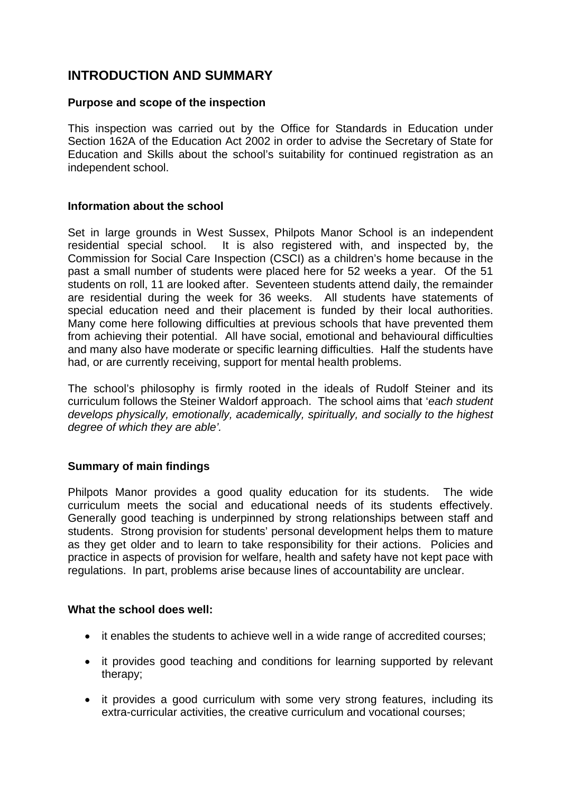### **INTRODUCTION AND SUMMARY**

#### **Purpose and scope of the inspection**

This inspection was carried out by the Office for Standards in Education under Section 162A of the Education Act 2002 in order to advise the Secretary of State for Education and Skills about the school's suitability for continued registration as an independent school.

#### **Information about the school**

Set in large grounds in West Sussex, Philpots Manor School is an independent residential special school. It is also registered with, and inspected by, the Commission for Social Care Inspection (CSCI) as a children's home because in the past a small number of students were placed here for 52 weeks a year. Of the 51 students on roll, 11 are looked after. Seventeen students attend daily, the remainder are residential during the week for 36 weeks. All students have statements of special education need and their placement is funded by their local authorities. Many come here following difficulties at previous schools that have prevented them from achieving their potential. All have social, emotional and behavioural difficulties and many also have moderate or specific learning difficulties. Half the students have had, or are currently receiving, support for mental health problems.

The school's philosophy is firmly rooted in the ideals of Rudolf Steiner and its curriculum follows the Steiner Waldorf approach. The school aims that '*each student develops physically, emotionally, academically, spiritually, and socially to the highest degree of which they are able'.*

### **Summary of main findings**

Philpots Manor provides a good quality education for its students. The wide curriculum meets the social and educational needs of its students effectively. Generally good teaching is underpinned by strong relationships between staff and students. Strong provision for students' personal development helps them to mature as they get older and to learn to take responsibility for their actions. Policies and practice in aspects of provision for welfare, health and safety have not kept pace with regulations. In part, problems arise because lines of accountability are unclear.

#### **What the school does well:**

- it enables the students to achieve well in a wide range of accredited courses:
- it provides good teaching and conditions for learning supported by relevant therapy;
- it provides a good curriculum with some very strong features, including its extra-curricular activities, the creative curriculum and vocational courses;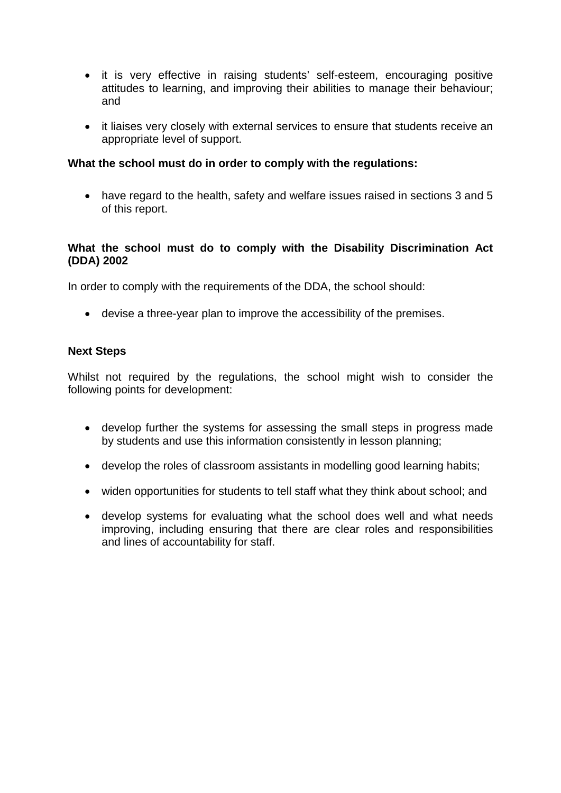- it is very effective in raising students' self-esteem, encouraging positive attitudes to learning, and improving their abilities to manage their behaviour; and
- it liaises very closely with external services to ensure that students receive an appropriate level of support.

#### **What the school must do in order to comply with the regulations:**

 have regard to the health, safety and welfare issues raised in sections 3 and 5 of this report.

#### **What the school must do to comply with the Disability Discrimination Act (DDA) 2002**

In order to comply with the requirements of the DDA, the school should:

devise a three-year plan to improve the accessibility of the premises.

#### **Next Steps**

Whilst not required by the requlations, the school might wish to consider the following points for development:

- develop further the systems for assessing the small steps in progress made by students and use this information consistently in lesson planning;
- develop the roles of classroom assistants in modelling good learning habits;
- widen opportunities for students to tell staff what they think about school; and
- develop systems for evaluating what the school does well and what needs improving, including ensuring that there are clear roles and responsibilities and lines of accountability for staff.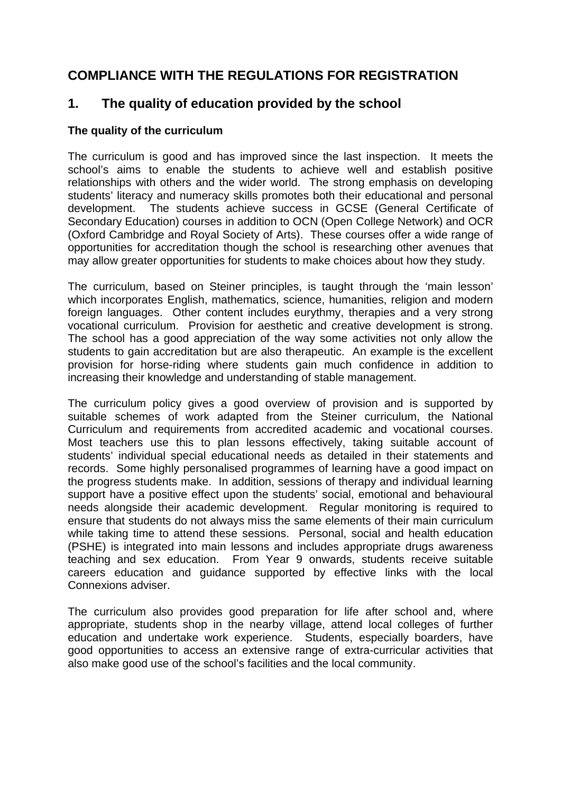### **COMPLIANCE WITH THE REGULATIONS FOR REGISTRATION**

### **1. The quality of education provided by the school**

#### **The quality of the curriculum**

The curriculum is good and has improved since the last inspection. It meets the school's aims to enable the students to achieve well and establish positive relationships with others and the wider world. The strong emphasis on developing students' literacy and numeracy skills promotes both their educational and personal development. The students achieve success in GCSE (General Certificate of Secondary Education) courses in addition to OCN (Open College Network) and OCR (Oxford Cambridge and Royal Society of Arts). These courses offer a wide range of opportunities for accreditation though the school is researching other avenues that may allow greater opportunities for students to make choices about how they study.

The curriculum, based on Steiner principles, is taught through the 'main lesson' which incorporates English, mathematics, science, humanities, religion and modern foreign languages. Other content includes eurythmy, therapies and a very strong vocational curriculum. Provision for aesthetic and creative development is strong. The school has a good appreciation of the way some activities not only allow the students to gain accreditation but are also therapeutic. An example is the excellent provision for horse-riding where students gain much confidence in addition to increasing their knowledge and understanding of stable management.

The curriculum policy gives a good overview of provision and is supported by suitable schemes of work adapted from the Steiner curriculum, the National Curriculum and requirements from accredited academic and vocational courses. Most teachers use this to plan lessons effectively, taking suitable account of students' individual special educational needs as detailed in their statements and records. Some highly personalised programmes of learning have a good impact on the progress students make. In addition, sessions of therapy and individual learning support have a positive effect upon the students' social, emotional and behavioural needs alongside their academic development. Regular monitoring is required to ensure that students do not always miss the same elements of their main curriculum while taking time to attend these sessions. Personal, social and health education (PSHE) is integrated into main lessons and includes appropriate drugs awareness teaching and sex education. From Year 9 onwards, students receive suitable careers education and guidance supported by effective links with the local Connexions adviser.

The curriculum also provides good preparation for life after school and, where appropriate, students shop in the nearby village, attend local colleges of further education and undertake work experience. Students, especially boarders, have good opportunities to access an extensive range of extra-curricular activities that also make good use of the school's facilities and the local community.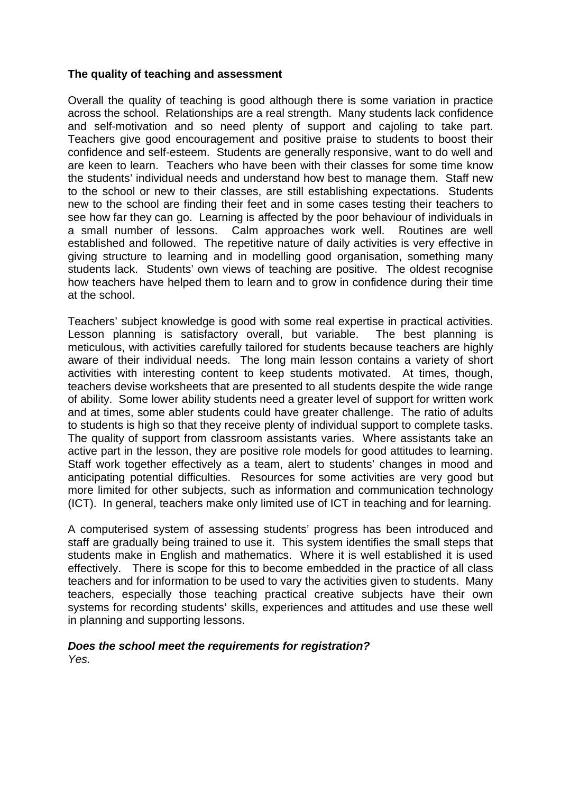#### **The quality of teaching and assessment**

Overall the quality of teaching is good although there is some variation in practice across the school. Relationships are a real strength. Many students lack confidence and self-motivation and so need plenty of support and cajoling to take part. Teachers give good encouragement and positive praise to students to boost their confidence and self-esteem. Students are generally responsive, want to do well and are keen to learn. Teachers who have been with their classes for some time know the students' individual needs and understand how best to manage them. Staff new to the school or new to their classes, are still establishing expectations. Students new to the school are finding their feet and in some cases testing their teachers to see how far they can go. Learning is affected by the poor behaviour of individuals in a small number of lessons. Calm approaches work well. Routines are well established and followed. The repetitive nature of daily activities is very effective in giving structure to learning and in modelling good organisation, something many students lack. Students' own views of teaching are positive. The oldest recognise how teachers have helped them to learn and to grow in confidence during their time at the school.

Teachers' subject knowledge is good with some real expertise in practical activities. Lesson planning is satisfactory overall, but variable. The best planning is meticulous, with activities carefully tailored for students because teachers are highly aware of their individual needs. The long main lesson contains a variety of short activities with interesting content to keep students motivated. At times, though, teachers devise worksheets that are presented to all students despite the wide range of ability. Some lower ability students need a greater level of support for written work and at times, some abler students could have greater challenge. The ratio of adults to students is high so that they receive plenty of individual support to complete tasks. The quality of support from classroom assistants varies. Where assistants take an active part in the lesson, they are positive role models for good attitudes to learning. Staff work together effectively as a team, alert to students' changes in mood and anticipating potential difficulties. Resources for some activities are very good but more limited for other subjects, such as information and communication technology (ICT). In general, teachers make only limited use of ICT in teaching and for learning.

A computerised system of assessing students' progress has been introduced and staff are gradually being trained to use it. This system identifies the small steps that students make in English and mathematics. Where it is well established it is used effectively. There is scope for this to become embedded in the practice of all class teachers and for information to be used to vary the activities given to students. Many teachers, especially those teaching practical creative subjects have their own systems for recording students' skills, experiences and attitudes and use these well in planning and supporting lessons.

#### *Does the school meet the requirements for registration? Yes.*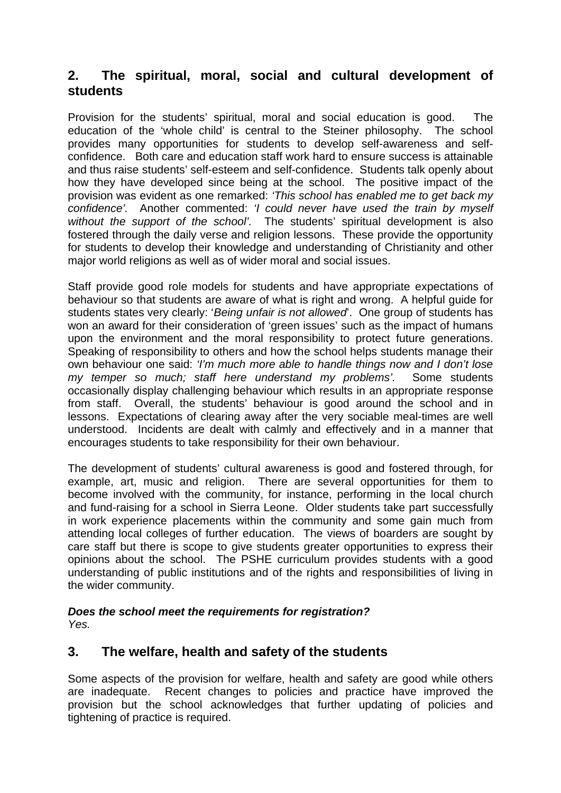### **2. The spiritual, moral, social and cultural development of students**

Provision for the students' spiritual, moral and social education is good. The education of the 'whole child' is central to the Steiner philosophy. The school provides many opportunities for students to develop self-awareness and selfconfidence. Both care and education staff work hard to ensure success is attainable and thus raise students' self-esteem and self-confidence. Students talk openly about how they have developed since being at the school. The positive impact of the provision was evident as one remarked: *'This school has enabled me to get back my confidence'.* Another commented: *'I could never have used the train by myself without the support of the school'.* The students' spiritual development is also fostered through the daily verse and religion lessons. These provide the opportunity for students to develop their knowledge and understanding of Christianity and other major world religions as well as of wider moral and social issues.

Staff provide good role models for students and have appropriate expectations of behaviour so that students are aware of what is right and wrong. A helpful guide for students states very clearly: '*Being unfair is not allowed*'. One group of students has won an award for their consideration of 'green issues' such as the impact of humans upon the environment and the moral responsibility to protect future generations. Speaking of responsibility to others and how the school helps students manage their own behaviour one said: *'I'm much more able to handle things now and I don't lose my temper so much; staff here understand my problems'.* Some students occasionally display challenging behaviour which results in an appropriate response from staff. Overall, the students' behaviour is good around the school and in lessons. Expectations of clearing away after the very sociable meal-times are well understood. Incidents are dealt with calmly and effectively and in a manner that encourages students to take responsibility for their own behaviour.

The development of students' cultural awareness is good and fostered through, for example, art, music and religion. There are several opportunities for them to become involved with the community, for instance, performing in the local church and fund-raising for a school in Sierra Leone. Older students take part successfully in work experience placements within the community and some gain much from attending local colleges of further education. The views of boarders are sought by care staff but there is scope to give students greater opportunities to express their opinions about the school. The PSHE curriculum provides students with a good understanding of public institutions and of the rights and responsibilities of living in the wider community.

#### *Does the school meet the requirements for registration? Yes.*

### **3. The welfare, health and safety of the students**

Some aspects of the provision for welfare, health and safety are good while others are inadequate. Recent changes to policies and practice have improved the provision but the school acknowledges that further updating of policies and tightening of practice is required.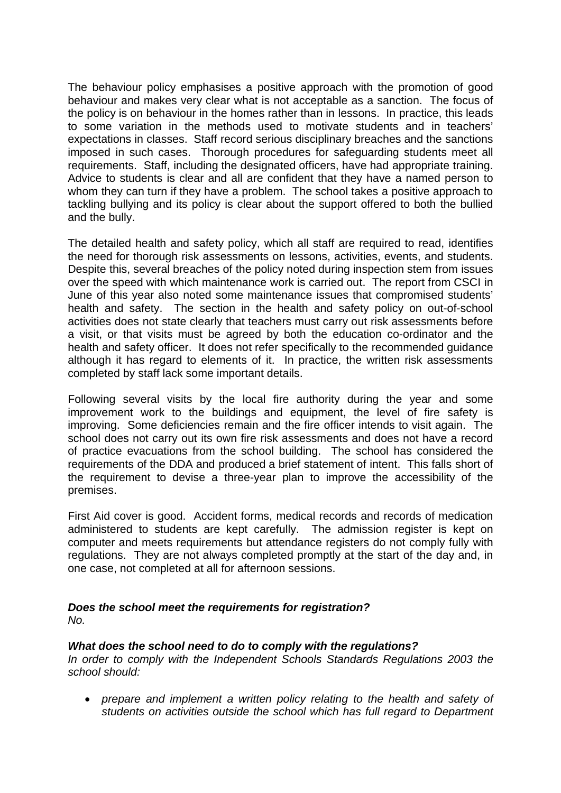The behaviour policy emphasises a positive approach with the promotion of good behaviour and makes very clear what is not acceptable as a sanction. The focus of the policy is on behaviour in the homes rather than in lessons. In practice, this leads to some variation in the methods used to motivate students and in teachers' expectations in classes. Staff record serious disciplinary breaches and the sanctions imposed in such cases. Thorough procedures for safeguarding students meet all requirements. Staff, including the designated officers, have had appropriate training. Advice to students is clear and all are confident that they have a named person to whom they can turn if they have a problem. The school takes a positive approach to tackling bullying and its policy is clear about the support offered to both the bullied and the bully.

The detailed health and safety policy, which all staff are required to read, identifies the need for thorough risk assessments on lessons, activities, events, and students. Despite this, several breaches of the policy noted during inspection stem from issues over the speed with which maintenance work is carried out. The report from CSCI in June of this year also noted some maintenance issues that compromised students' health and safety. The section in the health and safety policy on out-of-school activities does not state clearly that teachers must carry out risk assessments before a visit, or that visits must be agreed by both the education co-ordinator and the health and safety officer. It does not refer specifically to the recommended guidance although it has regard to elements of it. In practice, the written risk assessments completed by staff lack some important details.

Following several visits by the local fire authority during the year and some improvement work to the buildings and equipment, the level of fire safety is improving. Some deficiencies remain and the fire officer intends to visit again. The school does not carry out its own fire risk assessments and does not have a record of practice evacuations from the school building. The school has considered the requirements of the DDA and produced a brief statement of intent. This falls short of the requirement to devise a three-year plan to improve the accessibility of the premises.

First Aid cover is good. Accident forms, medical records and records of medication administered to students are kept carefully. The admission register is kept on computer and meets requirements but attendance registers do not comply fully with regulations. They are not always completed promptly at the start of the day and, in one case, not completed at all for afternoon sessions.

### *Does the school meet the requirements for registration?*

*No.*

### *What does the school need to do to comply with the regulations?*

*In order to comply with the Independent Schools Standards Regulations 2003 the school should:*

 *prepare and implement a written policy relating to the health and safety of students on activities outside the school which has full regard to Department*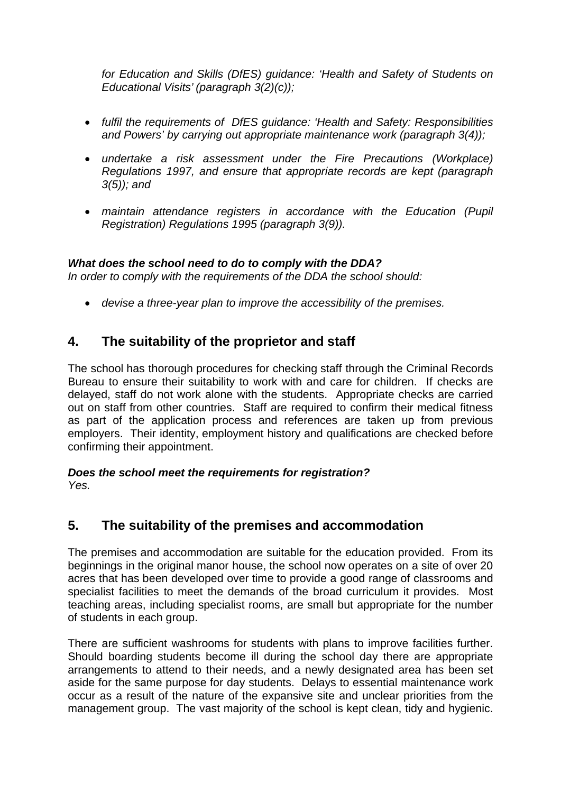*for Education and Skills (DfES) guidance: 'Health and Safety of Students on Educational Visits' (paragraph 3(2)(c));*

- *fulfil the requirements of DfES guidance: 'Health and Safety: Responsibilities and Powers' by carrying out appropriate maintenance work (paragraph 3(4));*
- *undertake a risk assessment under the Fire Precautions (Workplace) Regulations 1997, and ensure that appropriate records are kept (paragraph 3(5)); and*
- *maintain attendance registers in accordance with the Education (Pupil Registration) Regulations 1995 (paragraph 3(9)).*

#### *What does the school need to do to comply with the DDA?*

*In order to comply with the requirements of the DDA the school should:*

*devise a three-year plan to improve the accessibility of the premises.*

### **4. The suitability of the proprietor and staff**

The school has thorough procedures for checking staff through the Criminal Records Bureau to ensure their suitability to work with and care for children. If checks are delayed, staff do not work alone with the students. Appropriate checks are carried out on staff from other countries. Staff are required to confirm their medical fitness as part of the application process and references are taken up from previous employers. Their identity, employment history and qualifications are checked before confirming their appointment.

# *Does the school meet the requirements for registration?*

*Yes.*

# **5. The suitability of the premises and accommodation**

The premises and accommodation are suitable for the education provided. From its beginnings in the original manor house, the school now operates on a site of over 20 acres that has been developed over time to provide a good range of classrooms and specialist facilities to meet the demands of the broad curriculum it provides. Most teaching areas, including specialist rooms, are small but appropriate for the number of students in each group.

There are sufficient washrooms for students with plans to improve facilities further. Should boarding students become ill during the school day there are appropriate arrangements to attend to their needs, and a newly designated area has been set aside for the same purpose for day students. Delays to essential maintenance work occur as a result of the nature of the expansive site and unclear priorities from the management group. The vast majority of the school is kept clean, tidy and hygienic.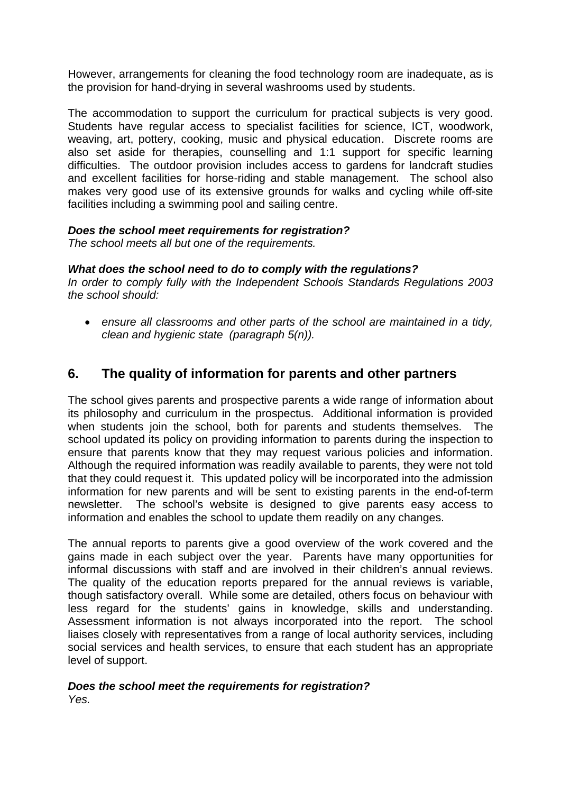However, arrangements for cleaning the food technology room are inadequate, as is the provision for hand-drying in several washrooms used by students.

The accommodation to support the curriculum for practical subjects is very good. Students have regular access to specialist facilities for science, ICT, woodwork, weaving, art, pottery, cooking, music and physical education. Discrete rooms are also set aside for therapies, counselling and 1:1 support for specific learning difficulties. The outdoor provision includes access to gardens for landcraft studies and excellent facilities for horse-riding and stable management. The school also makes very good use of its extensive grounds for walks and cycling while off-site facilities including a swimming pool and sailing centre.

#### *Does the school meet requirements for registration?*

*The school meets all but one of the requirements.* 

#### *What does the school need to do to comply with the regulations?*

*In order to comply fully with the Independent Schools Standards Regulations 2003 the school should:*

 *ensure all classrooms and other parts of the school are maintained in a tidy, clean and hygienic state (paragraph 5(n)).*

### **6. The quality of information for parents and other partners**

The school gives parents and prospective parents a wide range of information about its philosophy and curriculum in the prospectus. Additional information is provided when students join the school, both for parents and students themselves. The school updated its policy on providing information to parents during the inspection to ensure that parents know that they may request various policies and information. Although the required information was readily available to parents, they were not told that they could request it. This updated policy will be incorporated into the admission information for new parents and will be sent to existing parents in the end-of-term newsletter. The school's website is designed to give parents easy access to information and enables the school to update them readily on any changes.

The annual reports to parents give a good overview of the work covered and the gains made in each subject over the year. Parents have many opportunities for informal discussions with staff and are involved in their children's annual reviews. The quality of the education reports prepared for the annual reviews is variable, though satisfactory overall. While some are detailed, others focus on behaviour with less regard for the students' gains in knowledge, skills and understanding. Assessment information is not always incorporated into the report. The school liaises closely with representatives from a range of local authority services, including social services and health services, to ensure that each student has an appropriate level of support.

#### *Does the school meet the requirements for registration? Yes.*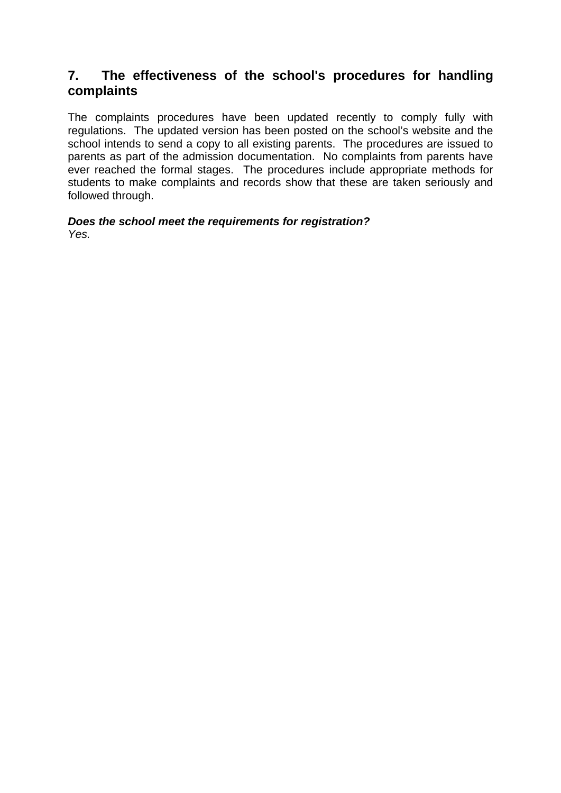### **7. The effectiveness of the school's procedures for handling complaints**

The complaints procedures have been updated recently to comply fully with regulations. The updated version has been posted on the school's website and the school intends to send a copy to all existing parents. The procedures are issued to parents as part of the admission documentation. No complaints from parents have ever reached the formal stages. The procedures include appropriate methods for students to make complaints and records show that these are taken seriously and followed through.

*Does the school meet the requirements for registration? Yes.*